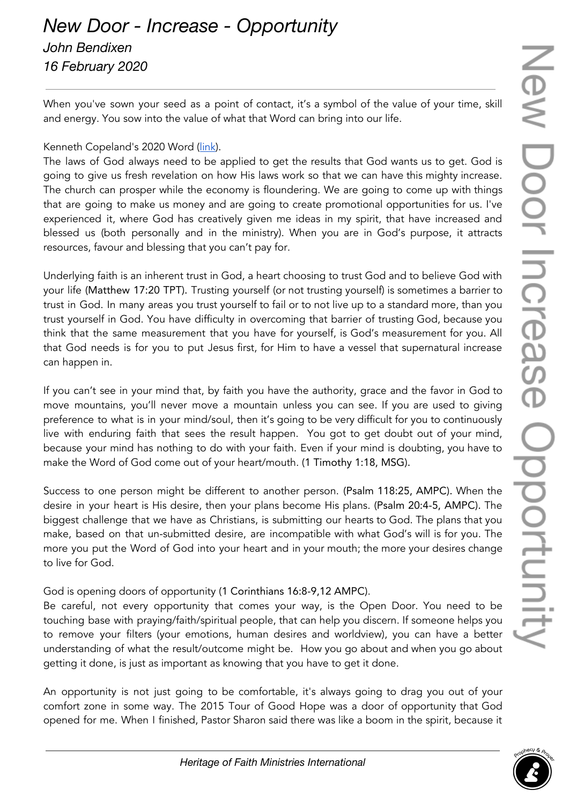## *New Door - Increase - Opportunity John Bendixen*

*16 February 2020*

When you've sown your seed as a point of contact, it's a symbol of the value of your time, skill and energy. You sow into the value of what that Word can bring into our life.

## Kenneth Copeland's 2020 Word [\(link\)](https://drive.google.com/file/d/1eZfXfDrDE6RgiS7cZ0tA8kzNy8yqynqG/view?usp=sharing).

The laws of God always need to be applied to get the results that God wants us to get. God is going to give us fresh revelation on how His laws work so that we can have this mighty increase. The church can prosper while the economy is floundering. We are going to come up with things that are going to make us money and are going to create promotional opportunities for us. I've experienced it, where God has creatively given me ideas in my spirit, that have increased and blessed us (both personally and in the ministry). When you are in God's purpose, it attracts resources, favour and blessing that you can't pay for.

Underlying faith is an inherent trust in God, a heart choosing to trust God and to believe God with your life (Matthew 17:20 TPT). Trusting yourself (or not trusting yourself) is sometimes a barrier to trust in God. In many areas you trust yourself to fail or to not live up to a standard more, than you trust yourself in God. You have difficulty in overcoming that barrier of trusting God, because you think that the same measurement that you have for yourself, is God's measurement for you. All that God needs is for you to put Jesus first, for Him to have a vessel that supernatural increase can happen in.

If you can't see in your mind that, by faith you have the authority, grace and the favor in God to move mountains, you'll never move a mountain unless you can see. If you are used to giving preference to what is in your mind/soul, then it's going to be very difficult for you to continuously live with enduring faith that sees the result happen. You got to get doubt out of your mind, because your mind has nothing to do with your faith. Even if your mind is doubting, you have to make the Word of God come out of your heart/mouth. (1 Timothy 1:18, MSG).

Success to one person might be different to another person. (Psalm 118:25, AMPC). When the desire in your heart is His desire, then your plans become His plans. (Psalm 20:4-5, AMPC). The biggest challenge that we have as Christians, is submitting our hearts to God. The plans that you make, based on that un-submitted desire, are incompatible with what God's will is for you. The more you put the Word of God into your heart and in your mouth; the more your desires change to live for God.

God is opening doors of opportunity (1 Corinthians 16:8-9,12 AMPC).

Be careful, not every opportunity that comes your way, is the Open Door. You need to be touching base with praying/faith/spiritual people, that can help you discern. If someone helps you to remove your filters (your emotions, human desires and worldview), you can have a better understanding of what the result/outcome might be. How you go about and when you go about getting it done, is just as important as knowing that you have to get it done.

An opportunity is not just going to be comfortable, it's always going to drag you out of your comfort zone in some way. The 2015 Tour of Good Hope was a door of opportunity that God opened for me. When I finished, Pastor Sharon said there was like a boom in the spirit, because it